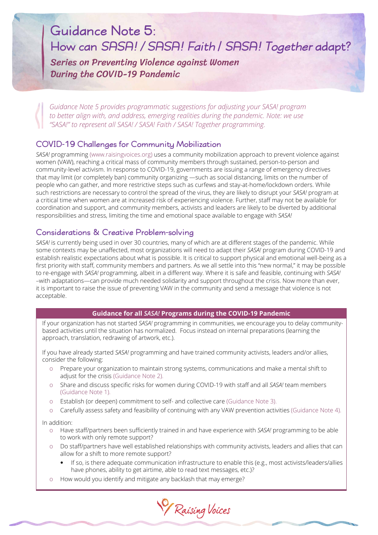# Guidance Note 5: How can SASA! / SASA! Faith / SASA! Together adapt?

Series on Preventing Violence against Women During the COVID-19 Pandemic

*Guidance Note 5 provides programmatic suggestions for adjusting your SASA! program to better align with, and address, emerging realities during the pandemic. Note: we use "SASA!" to represent all SASA! / SASA! Faith / SASA! Together programming.*

# COVID-19 Challenges for Community Mobilization

*SASA!* programming [\(www.raisingvoices.org\) u](http://www.raisingvoices.org)ses a community mobilization approach to prevent violence against women (VAW), reaching a critical mass of community members through sustained, person-to-person and community-level activism. In response to COVID-19, governments are issuing a range of emergency directives that may limit (or completely ban) community organizing —such as social distancing, limits on the number of people who can gather, and more restrictive steps such as curfews and stay-at-home/lockdown orders. While such restrictions are necessary to control the spread of the virus, they are likely to disrupt your *SASA!* program at a critical time when women are at increased risk of experiencing violence. Further, staff may not be available for coordination and support, and community members, activists and leaders are likely to be diverted by additional responsibilities and stress, limiting the time and emotional space available to engage with *SASA!*

# Considerations & Creative Problem-solving

*SASA!* is currently being used in over 30 countries, many of which are at different stages of the pandemic. While some contexts may be unaffected, most organizations will need to adapt their *SASA!* program during COVID-19 and establish realistic expectations about what is possible. It is critical to support physical and emotional well-being as a first priority with staff, community members and partners. As we all settle into this "new normal," it may be possible to re-engage with *SASA!* programming, albeit in a different way. Where it is safe and feasible, continuing with *SASA!* –with adaptations—can provide much needed solidarity and support throughout the crisis. Now more than ever, it is important to raise the issue of preventing VAW in the community and send a message that violence is not acceptable.

# **Guidance for all** *SASA!* **Programs during the COVID-19 Pandemic**

If your organization has not started *SASA!* programming in communities, we encourage you to delay communitybased activities until the situation has normalized. Focus instead on internal preparations (learning the approach, translation, redrawing of artwork, etc.).

If you have already started *SASA!* programming and have trained community activists, leaders and/or allies, consider the following:

- o Prepare your organization to maintain strong systems, communications and make a mental shift to adjust for the crisis ([Guidance Note 2\)](http://raisingvoices.org/wp-content/uploads/How_can_activist_organizations_adapt.pdf).
- o Share and discuss specific risks for women during COVID-19 with staff and all *SASA!* team members ([Guidance Note 1](http://raisingvoices.org/wp-content/uploads/How_are_women_affected.pdf)).
- o Establish (or deepen) commitment to self- and collective care [\(Guidance Note 3](http://raisingvoices.org/wp-content/uploads/How_can_we_amplify_self_and_collective_care.pdf)).
- o Carefully assess safety and feasibility of continuing with any VAW prevention activities [\(Guidance Note 4\)](http://raisingvoices.org/wp-content/uploads/How_can_VAW_prevention_programs_adapt.pdf).

In addition:

- o Have staff/partners been sufficiently trained in and have experience with *SASA!* programming to be able to work with only remote support?
- o Do staff/partners have well established relationships with community activists, leaders and allies that can allow for a shift to more remote support?
	- **•** If so, is there adequate communication infrastructure to enable this (e.g., most activists/leaders/allies have phones, ability to get airtime, able to read text messages, etc.)?
- o How would you identify and mitigate any backlash that may emerge?

P/ Raising Voices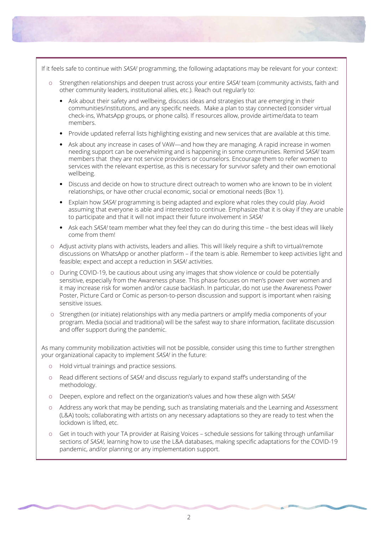If it feels safe to continue with *SASA!* programming, the following adaptations may be relevant for your context:

- Strengthen relationships and deepen trust across your entire *SASA!* team (community activists, faith and other community leaders, institutional allies, etc.). Reach out regularly to:
	- **•** Ask about their safety and wellbeing, discuss ideas and strategies that are emerging in their communities/institutions, and any specific needs. Make a plan to stay connected (consider virtual check-ins, WhatsApp groups, or phone calls). If resources allow, provide airtime/data to team members.
	- **•** Provide updated referral lists highlighting existing and new services that are available at this time.
	- **•** Ask about any increase in cases of VAW—and how they are managing. A rapid increase in women needing support can be overwhelming and is happening in some communities. Remind *SASA!* team members that they are not service providers or counselors. Encourage them to refer women to services with the relevant expertise, as this is necessary for survivor safety and their own emotional wellbeing.
	- **•** Discuss and decide on how to structure direct outreach to women who are known to be in violent relationships, or have other crucial economic, social or emotional needs (Box 1).
	- **•** Explain how *SASA!* programming is being adapted and explore what roles they could play. Avoid assuming that everyone is able and interested to continue. Emphasize that it is okay if they are unable to participate and that it will not impact their future involvement in *SASA!*
	- **•** Ask each *SASA!* team member what they feel they can do during this time the best ideas will likely come from them!
- o Adjust activity plans with activists, leaders and allies. This will likely require a shift to virtual/remote discussions on WhatsApp or another platform – if the team is able. Remember to keep activities light and feasible; expect and accept a reduction in *SASA!* activities.
- o During COVID-19, be cautious about using any images that show violence or could be potentially sensitive, especially from the Awareness phase. This phase focuses on men's power over women and it may increase risk for women and/or cause backlash. In particular, do not use the Awareness Power Poster, Picture Card or Comic as person-to-person discussion and support is important when raising sensitive issues.
- o Strengthen (or initiate) relationships with any media partners or amplify media components of your program. Media (social and traditional) will be the safest way to share information, facilitate discussion and offer support during the pandemic.

As many community mobilization activities will not be possible, consider using this time to further strengthen your organizational capacity to implement *SASA!* in the future:

- o Hold virtual trainings and practice sessions.
- o Read different sections of *SASA!* and discuss regularly to expand staff's understanding of the methodology.
- o Deepen, explore and reflect on the organization's values and how these align with *SASA!*
- o Address any work that may be pending, such as translating materials and the Learning and Assessment (L&A) tools; collaborating with artists on any necessary adaptations so they are ready to test when the lockdown is lifted, etc.
- o Get in touch with your TA provider at Raising Voices schedule sessions for talking through unfamiliar sections of *SASA!,* learning how to use the L&A databases, making specific adaptations for the COVID-19 pandemic, and/or planning or any implementation support.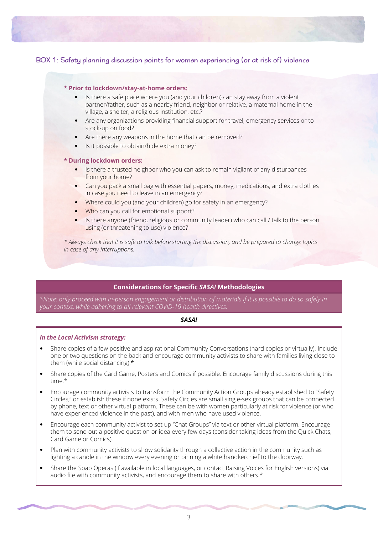## BOX 1: Safety planning discussion points for women experiencing (or at risk of) violence

#### **\* Prior to lockdown/stay-at-home orders:**

- **•** Is there a safe place where you (and your children) can stay away from a violent partner/father, such as a nearby friend, neighbor or relative, a maternal home in the village, a shelter, a religious institution, etc.?
- **•** Are any organizations providing financial support for travel, emergency services or to stock-up on food?
- **•** Are there any weapons in the home that can be removed?
- **•** Is it possible to obtain/hide extra money?

#### **\* During lockdown orders:**

- **•** Is there a trusted neighbor who you can ask to remain vigilant of any disturbances from your home?
- **•** Can you pack a small bag with essential papers, money, medications, and extra clothes in case you need to leave in an emergency?
- Where could you (and your children) go for safety in an emergency?
- Who can you call for emotional support?
- **•** Is there anyone (friend, religious or community leader) who can call / talk to the person using (or threatening to use) violence?

*\* Always check that it is safe to talk before starting the discussion, and be prepared to change topics in case of any interruptions.*

#### **Considerations for Specific** *SASA!* **Methodologies**

*\*Note: only proceed with in-person engagement or distribution of materials if it is possible to do so safely in your context, while adhering to all relevant COVID-19 health directives.*

#### *SASA!*

#### *In the Local Activism strategy:*

- **•** Share copies of a few positive and aspirational Community Conversations (hard copies or virtually). Include one or two questions on the back and encourage community activists to share with families living close to them (while social distancing).\*
- **•** Share copies of the Card Game, Posters and Comics if possible. Encourage family discussions during this time\*
- **•** Encourage community activists to transform the Community Action Groups already established to "Safety Circles," or establish these if none exists. Safety Circles are small single-sex groups that can be connected by phone, text or other virtual platform. These can be with women particularly at risk for violence (or who have experienced violence in the past), and with men who have used violence.
- **•** Encourage each community activist to set up "Chat Groups" via text or other virtual platform. Encourage them to send out a positive question or idea every few days (consider taking ideas from the Quick Chats, Card Game or Comics).
- **•** Plan with community activists to show solidarity through a collective action in the community such as lighting a candle in the window every evening or pinning a white handkerchief to the doorway.
- **•** Share the Soap Operas (if available in local languages, or contact Raising Voices for English versions) via audio file with community activists, and encourage them to share with others.\*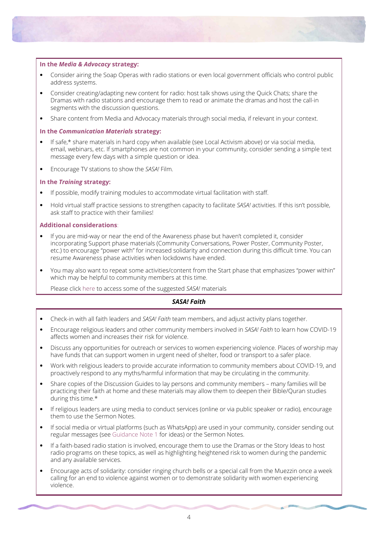#### **In the** *Media & Advocacy* **strategy:**

- **•** Consider airing the Soap Operas with radio stations or even local government officials who control public address systems.
- **•** Consider creating/adapting new content for radio: host talk shows using the Quick Chats; share the Dramas with radio stations and encourage them to read or animate the dramas and host the call-in segments with the discussion questions.
- **•** Share content from Media and Advocacy materials through social media, if relevant in your context.

#### **In the** *Communication Materials* **strategy:**

- **•** If safe,\* share materials in hard copy when available (see Local Activism above) or via social media, email, webinars, etc. If smartphones are not common in your community, consider sending a simple text message every few days with a simple question or idea.
- **•** Encourage TV stations to show the *SASA!* Film.

#### **In the** *Training* **strategy:**

- **•** If possible, modify training modules to accommodate virtual facilitation with staff.
- **•** Hold virtual staff practice sessions to strengthen capacity to facilitate *SASA!* activities. If this isn't possible, ask staff to practice with their families!

#### **Additional considerations**:

- **•** If you are mid-way or near the end of the Awareness phase but haven't completed it, consider incorporating Support phase materials (Community Conversations, Power Poster, Community Poster, etc.) to encourage "power with" for increased solidarity and connection during this difficult time. You can resume Awareness phase activities when lockdowns have ended.
- **•** You may also want to repeat some activities/content from the Start phase that emphasizes "power within" which may be helpful to community members at this time.

Please click [here](https://bit.ly/3f5Gvlo) to access some of the suggested *SASA!* materials

# *SASA! Faith*

- **•** Check-in with all faith leaders and *SASA! Faith* team members, and adjust activity plans together.
- **•** Encourage religious leaders and other community members involved in *SASA! Faith* to learn how COVID-19 affects women and increases their risk for violence.
- **•** Discuss any opportunities for outreach or services to women experiencing violence. Places of worship may have funds that can support women in urgent need of shelter, food or transport to a safer place.
- **•** Work with religious leaders to provide accurate information to community members about COVID-19, and proactively respond to any myths/harmful information that may be circulating in the community.
- **•** Share copies of the Discussion Guides to lay persons and community members many families will be practicing their faith at home and these materials may allow them to deepen their Bible/Quran studies during this time.\*
- **•** If religious leaders are using media to conduct services (online or via public speaker or radio), encourage them to use the Sermon Notes.
- **•** If social media or virtual platforms (such as WhatsApp) are used in your community, consider sending out regular messages (see [Guidance Note 1](http://raisingvoices.org/wp-content/uploads/How_are_women_affected.pdf) for ideas) or the Sermon Notes.
- **•** If a faith-based radio station is involved, encourage them to use the Dramas or the Story Ideas to host radio programs on these topics, as well as highlighting heightened risk to women during the pandemic and any available services.
- **•** Encourage acts of solidarity: consider ringing church bells or a special call from the Muezzin once a week calling for an end to violence against women or to demonstrate solidarity with women experiencing violence.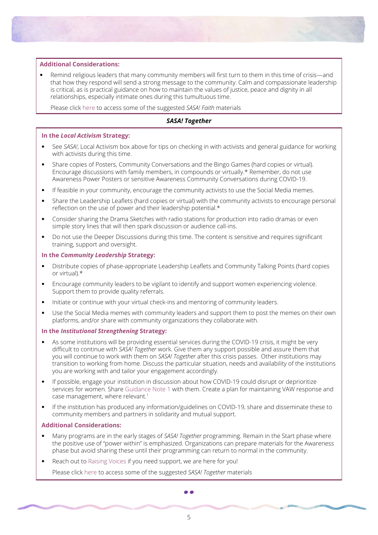#### **Additional Considerations:**

**•** Remind religious leaders that many community members will first turn to them in this time of crisis—and that how they respond will send a strong message to the community. Calm and compassionate leadership is critical, as is practical guidance on how to maintain the values of justice, peace and dignity in all relationships, especially intimate ones during this tumultuous time.

Please click [here](https://bit.ly/3bVatGB) to access some of the suggested *SASA! Faith* materials

## *SASA! Together*

#### **In the** *Local Activism* **Strategy:**

- **•** See *SASA!*, Local Activism box above for tips on checking in with activists and general guidance for working with activists during this time.
- **•** Share copies of Posters, Community Conversations and the Bingo Games (hard copies or virtual). Encourage discussions with family members, in compounds or virtually.\* Remember, do not use Awareness Power Posters or sensitive Awareness Community Conversations during COVID-19.
- **•** If feasible in your community, encourage the community activists to use the Social Media memes.
- **•** Share the Leadership Leaflets (hard copies or virtual) with the community activists to encourage personal reflection on the use of power and their leadership potential.\*
- **•** Consider sharing the Drama Sketches with radio stations for production into radio dramas or even simple story lines that will then spark discussion or audience call-ins.
- **•** Do not use the Deeper Discussions during this time. The content is sensitive and requires significant training, support and oversight.

#### **In the** *Community Leadership* **Strategy:**

- **•** Distribute copies of phase-appropriate Leadership Leaflets and Community Talking Points (hard copies or virtual).\*
- **•** Encourage community leaders to be vigilant to identify and support women experiencing violence. Support them to provide quality referrals.
- **•** Initiate or continue with your virtual check-ins and mentoring of community leaders.
- **•** Use the Social Media memes with community leaders and support them to post the memes on their own platforms, and/or share with community organizations they collaborate with.

#### **In the** *Institutional Strengthening* **Strategy:**

- **•** As some institutions will be providing essential services during the COVID-19 crisis, it might be very difficult to continue with *SASA! Together* work. Give them any support possible and assure them that you will continue to work with them on *SASA! Together* after this crisis passes. Other institutions may transition to working from home. Discuss the particular situation, needs and availability of the institutions you are working with and tailor your engagement accordingly.
- **•** If possible, engage your institution in discussion about how COVID-19 could disrupt or deprioritize services for women. Share [Guidance Note 1](http://raisingvoices.org/wp-content/uploads/How_are_women_affected.pdf
) with them. Create a plan for maintaining VAW response and case management, where relevant.<sup>1</sup>
- **•** If the institution has produced any information/guidelines on COVID-19, share and disseminate these to community members and partners in solidarity and mutual support.

#### **Additional Considerations:**

- **•** Many programs are in the early stages of *SASA! Together* programming. Remain in the Start phase where the positive use of "power within" is emphasized. Organizations can prepare materials for the Awareness phase but avoid sharing these until their programming can return to normal in the community.
- **•** Reach out to [Raising Voices](mailto:www.info@raisingvoices.org) if you need support, we are here for you!

Please click [here](https://bit.ly/2WfMBan) to access some of the suggested *SASA! Together* materials